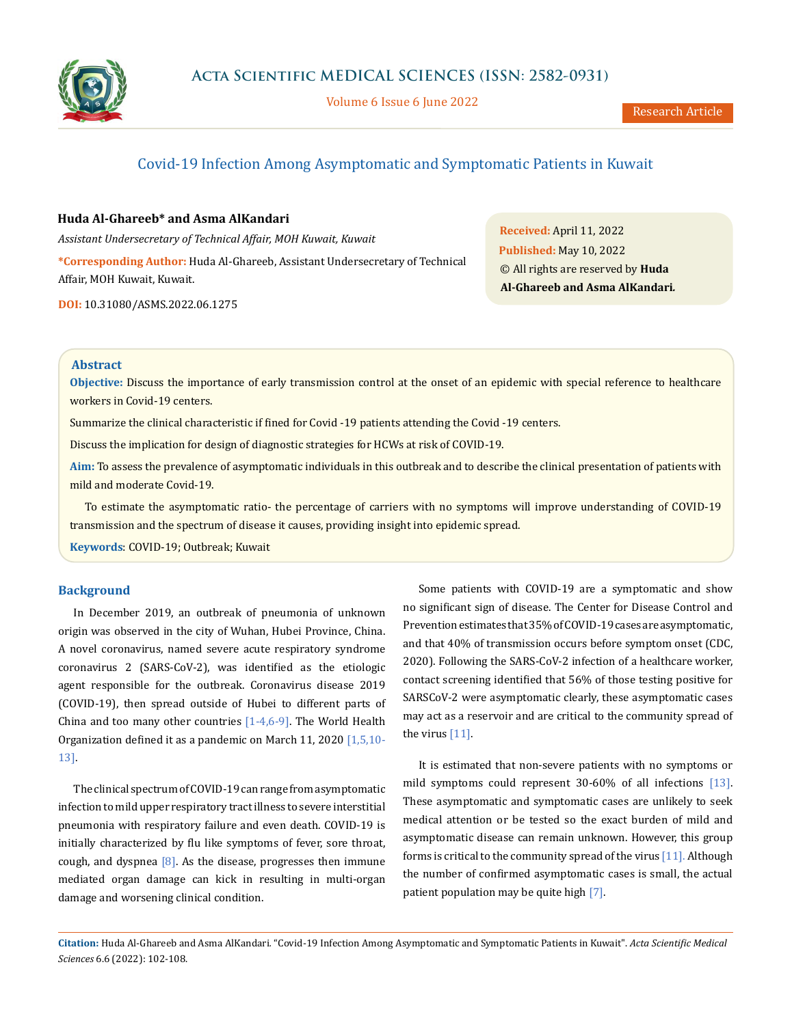

Volume 6 Issue 6 June 2022

# Covid-19 Infection Among Asymptomatic and Symptomatic Patients in Kuwait

# **Huda Al-Ghareeb\* and Asma AlKandari**

*Assistant Undersecretary of Technical Affair, MOH Kuwait, Kuwait* **\*Corresponding Author:** Huda Al-Ghareeb, Assistant Undersecretary of Technical Affair, MOH Kuwait, Kuwait.

**DOI:** [10.31080/ASMS.2022.06.1275](http://actascientific.com/ASMS/pdf/ASMS-06-1275.pdf)

**Received:** April 11, 2022 **Published:** May 10, 2022 © All rights are reserved by **Huda Al-Ghareeb and Asma AlKandari***.*

# **Abstract**

**Objective:** Discuss the importance of early transmission control at the onset of an epidemic with special reference to healthcare workers in Covid-19 centers.

Summarize the clinical characteristic if fined for Covid -19 patients attending the Covid -19 centers.

Discuss the implication for design of diagnostic strategies for HCWs at risk of COVID-19.

**Aim:** To assess the prevalence of asymptomatic individuals in this outbreak and to describe the clinical presentation of patients with mild and moderate Covid-19.

To estimate the asymptomatic ratio- the percentage of carriers with no symptoms will improve understanding of COVID-19 transmission and the spectrum of disease it causes, providing insight into epidemic spread.

**Keywords**: COVID-19; Outbreak; Kuwait

# **Background**

In December 2019, an outbreak of pneumonia of unknown origin was observed in the city of Wuhan, Hubei Province, China. A novel coronavirus, named severe acute respiratory syndrome coronavirus 2 (SARS-CoV-2), was identified as the etiologic agent responsible for the outbreak. Coronavirus disease 2019 (COVID-19), then spread outside of Hubei to different parts of China and too many other countries  $[1-4,6-9]$ . The World Health Organization defined it as a pandemic on March 11, 2020 [1,5,10- 13].

The clinical spectrum of COVID-19 can range from asymptomatic infection to mild upper respiratory tract illness to severe interstitial pneumonia with respiratory failure and even death. COVID-19 is initially characterized by flu like symptoms of fever, sore throat, cough, and dyspnea  $[8]$ . As the disease, progresses then immune mediated organ damage can kick in resulting in multi-organ damage and worsening clinical condition.

Some patients with COVID-19 are a symptomatic and show no significant sign of disease. The Center for Disease Control and Prevention estimates that 35% of COVID-19 cases are asymptomatic, and that 40% of transmission occurs before symptom onset (CDC, 2020). Following the SARS-CoV-2 infection of a healthcare worker, contact screening identified that 56% of those testing positive for SARSCoV-2 were asymptomatic clearly, these asymptomatic cases may act as a reservoir and are critical to the community spread of the virus [11].

It is estimated that non-severe patients with no symptoms or mild symptoms could represent 30-60% of all infections [13]. These asymptomatic and symptomatic cases are unlikely to seek medical attention or be tested so the exact burden of mild and asymptomatic disease can remain unknown. However, this group forms is critical to the community spread of the virus  $[11]$ . Although the number of confirmed asymptomatic cases is small, the actual patient population may be quite high [7].

**Citation:** Huda Al-Ghareeb and Asma AlKandari*.* "Covid-19 Infection Among Asymptomatic and Symptomatic Patients in Kuwait". *Acta Scientific Medical Sciences* 6.6 (2022): 102-108.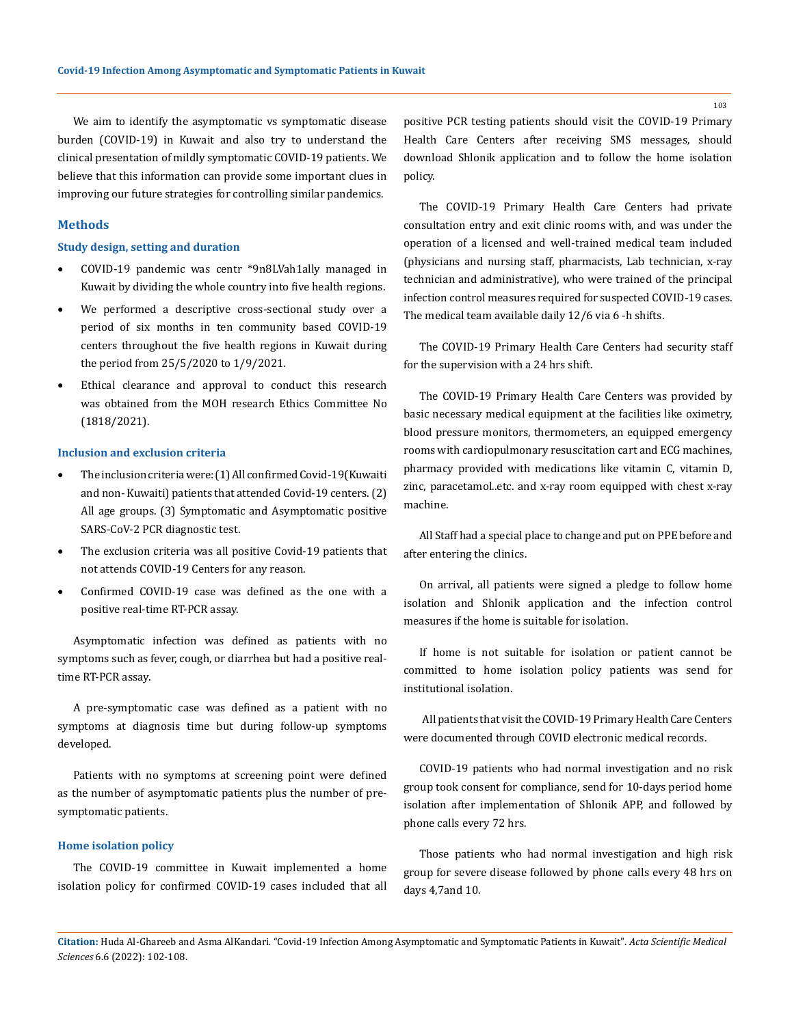We aim to identify the asymptomatic vs symptomatic disease burden (COVID-19) in Kuwait and also try to understand the clinical presentation of mildly symptomatic COVID-19 patients. We believe that this information can provide some important clues in improving our future strategies for controlling similar pandemics.

#### **Methods**

## **Study design, setting and duration**

- • COVID-19 pandemic was centr \*9n8LVah1ally managed in Kuwait by dividing the whole country into five health regions.
- • We performed a descriptive cross-sectional study over a period of six months in ten community based COVID-19 centers throughout the five health regions in Kuwait during the period from 25/5/2020 to 1/9/2021.
- Ethical clearance and approval to conduct this research was obtained from the MOH research Ethics Committee No (1818/2021).

# **Inclusion and exclusion criteria**

- The inclusion criteria were: (1) All confirmed Covid-19(Kuwaiti and non- Kuwaiti) patients that attended Covid-19 centers. (2) All age groups. (3) Symptomatic and Asymptomatic positive SARS-CoV-2 PCR diagnostic test.
- The exclusion criteria was all positive Covid-19 patients that not attends COVID-19 Centers for any reason.
- Confirmed COVID-19 case was defined as the one with a positive real-time RT-PCR assay.

Asymptomatic infection was defined as patients with no symptoms such as fever, cough, or diarrhea but had a positive realtime RT-PCR assay.

A pre-symptomatic case was defined as a patient with no symptoms at diagnosis time but during follow-up symptoms developed.

Patients with no symptoms at screening point were defined as the number of asymptomatic patients plus the number of presymptomatic patients.

### **Home isolation policy**

The COVID-19 committee in Kuwait implemented a home isolation policy for confirmed COVID-19 cases included that all positive PCR testing patients should visit the COVID-19 Primary Health Care Centers after receiving SMS messages, should download Shlonik application and to follow the home isolation policy.

The COVID-19 Primary Health Care Centers had private consultation entry and exit clinic rooms with, and was under the operation of a licensed and well-trained medical team included (physicians and nursing staff, pharmacists, Lab technician, x-ray technician and administrative), who were trained of the principal infection control measures required for suspected COVID-19 cases. The medical team available daily 12/6 via 6 -h shifts.

The COVID-19 Primary Health Care Centers had security staff for the supervision with a 24 hrs shift.

The COVID-19 Primary Health Care Centers was provided by basic necessary medical equipment at the facilities like oximetry, blood pressure monitors, thermometers, an equipped emergency rooms with cardiopulmonary resuscitation cart and ECG machines, pharmacy provided with medications like vitamin C, vitamin D, zinc, paracetamol..etc. and x-ray room equipped with chest x-ray machine.

All Staff had a special place to change and put on PPE before and after entering the clinics.

On arrival, all patients were signed a pledge to follow home isolation and Shlonik application and the infection control measures if the home is suitable for isolation.

If home is not suitable for isolation or patient cannot be committed to home isolation policy patients was send for institutional isolation.

 All patients that visit the COVID-19 Primary Health Care Centers were documented through COVID electronic medical records.

COVID-19 patients who had normal investigation and no risk group took consent for compliance, send for 10-days period home isolation after implementation of Shlonik APP, and followed by phone calls every 72 hrs.

Those patients who had normal investigation and high risk group for severe disease followed by phone calls every 48 hrs on days 4,7and 10.

**Citation:** Huda Al-Ghareeb and Asma AlKandari*.* "Covid-19 Infection Among Asymptomatic and Symptomatic Patients in Kuwait". *Acta Scientific Medical Sciences* 6.6 (2022): 102-108.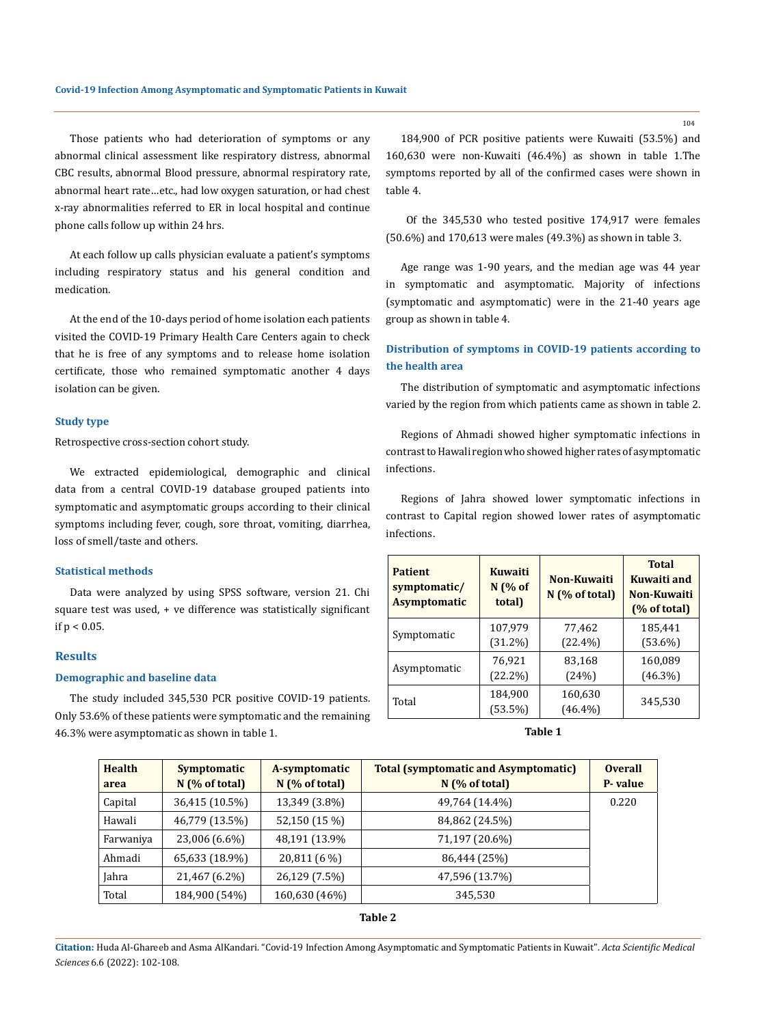Those patients who had deterioration of symptoms or any abnormal clinical assessment like respiratory distress, abnormal CBC results, abnormal Blood pressure, abnormal respiratory rate, abnormal heart rate…etc., had low oxygen saturation, or had chest x-ray abnormalities referred to ER in local hospital and continue phone calls follow up within 24 hrs.

At each follow up calls physician evaluate a patient's symptoms including respiratory status and his general condition and medication.

At the end of the 10-days period of home isolation each patients visited the COVID-19 Primary Health Care Centers again to check that he is free of any symptoms and to release home isolation certificate, those who remained symptomatic another 4 days isolation can be given.

# **Study type**

Retrospective cross-section cohort study.

We extracted epidemiological, demographic and clinical data from a central COVID-19 database grouped patients into symptomatic and asymptomatic groups according to their clinical symptoms including fever, cough, sore throat, vomiting, diarrhea, loss of smell/taste and others.

# **Statistical methods**

Data were analyzed by using SPSS software, version 21. Chi square test was used, + ve difference was statistically significant if  $p < 0.05$ .

### **Results**

## **Demographic and baseline data**

The study included 345,530 PCR positive COVID-19 patients. Only 53.6% of these patients were symptomatic and the remaining 46.3% were asymptomatic as shown in table 1.

184,900 of PCR positive patients were Kuwaiti (53.5%) and 160,630 were non-Kuwaiti (46.4%) as shown in table 1.The symptoms reported by all of the confirmed cases were shown in table 4.

 Of the 345,530 who tested positive 174,917 were females (50.6%) and 170,613 were males (49.3%) as shown in table 3.

Age range was 1-90 years, and the median age was 44 year in symptomatic and asymptomatic. Majority of infections (symptomatic and asymptomatic) were in the 21-40 years age group as shown in table 4.

# **Distribution of symptoms in COVID-19 patients according to the health area**

The distribution of symptomatic and asymptomatic infections varied by the region from which patients came as shown in table 2.

Regions of Ahmadi showed higher symptomatic infections in contrast to Hawali region who showed higher rates of asymptomatic infections.

Regions of Jahra showed lower symptomatic infections in contrast to Capital region showed lower rates of asymptomatic infections.

| <b>Kuwaiti</b><br><b>Patient</b><br>$N$ (% of<br>symptomatic/<br><b>Asymptomatic</b><br>total) |            | Non-Kuwaiti<br>$N$ (% of total) | <b>Total</b><br>Kuwaiti and<br>Non-Kuwaiti<br>(% of total) |
|------------------------------------------------------------------------------------------------|------------|---------------------------------|------------------------------------------------------------|
| Symptomatic                                                                                    | 107,979    | 77,462                          | 185,441                                                    |
|                                                                                                | $(31.2\%)$ | $(22.4\%)$                      | $(53.6\%)$                                                 |
| Asymptomatic                                                                                   | 76.921     | 83,168                          | 160,089                                                    |
|                                                                                                | $(22.2\%)$ | (24%)                           | $(46.3\%)$                                                 |
| Total                                                                                          | 184,900    | 160,630                         | 345,530                                                    |
|                                                                                                | (53.5%)    | $(46.4\%)$                      |                                                            |

#### **Table 1**

| <b>Health</b><br>area | Symptomatic<br>$N$ (% of total) | A-symptomatic<br>$N$ (% of total) | <b>Total (symptomatic and Asymptomatic)</b><br>$N$ (% of total) | <b>Overall</b><br>P-value |
|-----------------------|---------------------------------|-----------------------------------|-----------------------------------------------------------------|---------------------------|
| Capital               | 36,415 (10.5%)                  | 13,349 (3.8%)                     | 49,764 (14.4%)                                                  | 0.220                     |
| Hawali                | 46,779 (13.5%)                  | 52,150 (15 %)                     | 84,862 (24.5%)                                                  |                           |
| Farwaniya             | 23,006 (6.6%)                   | 48,191 (13.9%)                    | 71,197 (20.6%)                                                  |                           |
| Ahmadi                | 65,633 (18.9%)                  | 20,811 (6 %)                      | 86,444 (25%)                                                    |                           |
| Jahra                 | 21,467 (6.2%)                   | 26,129 (7.5%)                     | 47,596 (13.7%)                                                  |                           |
| Total                 | 184,900 (54%)                   | 160,630 (46%)                     | 345,530                                                         |                           |

**Table 2**

**Citation:** Huda Al-Ghareeb and Asma AlKandari*.* "Covid-19 Infection Among Asymptomatic and Symptomatic Patients in Kuwait". *Acta Scientific Medical Sciences* 6.6 (2022): 102-108.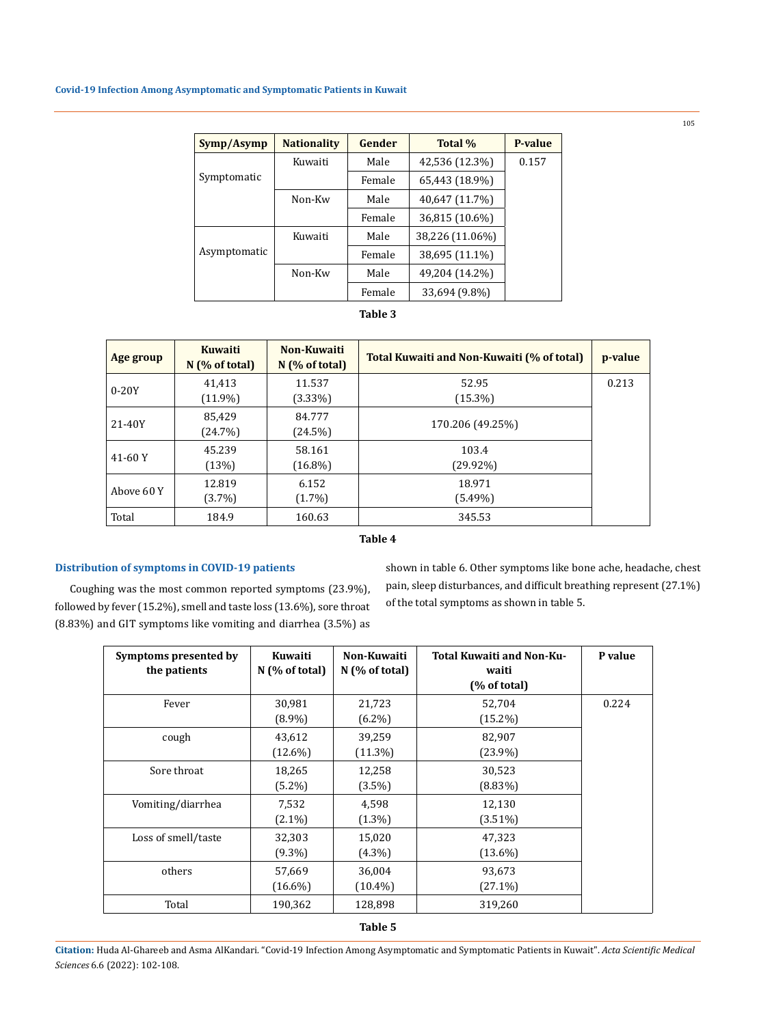| Symp/Asymp   | <b>Nationality</b> | Gender | Total %         | P-value |
|--------------|--------------------|--------|-----------------|---------|
|              | Kuwaiti            | Male   | 42,536 (12.3%)  | 0.157   |
| Symptomatic  |                    | Female | 65,443 (18.9%)  |         |
|              | Non-Kw             | Male   | 40,647 (11.7%)  |         |
|              |                    | Female | 36,815 (10.6%)  |         |
|              | Kuwaiti            | Male   | 38,226 (11.06%) |         |
| Asymptomatic |                    | Female | 38,695 (11.1%)  |         |
|              | Non-Kw             | Male   | 49,204 (14.2%)  |         |
|              |                    | Female | 33,694 (9.8%)   |         |

# **Table 3**

| Age group  | <b>Kuwaiti</b><br>$N$ (% of total) | Non-Kuwaiti<br>$N$ (% of total) | <b>Total Kuwaiti and Non-Kuwaiti (% of total)</b> | p-value |
|------------|------------------------------------|---------------------------------|---------------------------------------------------|---------|
| $0-20Y$    | 41,413<br>$(11.9\%)$               | 11.537<br>$(3.33\%)$            | 52.95<br>$(15.3\%)$                               | 0.213   |
| 21-40Y     | 85.429<br>(24.7%)                  | 84.777<br>(24.5%)               | 170.206 (49.25%)                                  |         |
| $41-60Y$   | 45.239<br>(13%)                    | 58.161<br>$(16.8\%)$            | 103.4<br>$(29.92\%)$                              |         |
| Above 60 Y | 12.819<br>$(3.7\%)$                | 6.152<br>$(1.7\%)$              | 18.971<br>$(5.49\%)$                              |         |
| Total      | 184.9                              | 160.63                          | 345.53                                            |         |

# **Table 4**

# **Distribution of symptoms in COVID-19 patients**

Coughing was the most common reported symptoms (23.9%), followed by fever (15.2%), smell and taste loss (13.6%), sore throat (8.83%) and GIT symptoms like vomiting and diarrhea (3.5%) as shown in table 6. Other symptoms like bone ache, headache, chest pain, sleep disturbances, and difficult breathing represent (27.1%) of the total symptoms as shown in table 5.

| Symptoms presented by<br>the patients | Kuwaiti<br>$N$ (% of total) | Non-Kuwaiti<br>$N$ (% of total) | Total Kuwaiti and Non-Ku-<br>waiti<br>(% of total) | P value |
|---------------------------------------|-----------------------------|---------------------------------|----------------------------------------------------|---------|
| Fever                                 | 30,981<br>$(8.9\%)$         | 21,723<br>$(6.2\%)$             | 52,704<br>$(15.2\%)$                               | 0.224   |
| cough                                 | 43,612<br>$(12.6\%)$        | 39,259<br>$(11.3\%)$            | 82,907<br>$(23.9\%)$                               |         |
| Sore throat                           | 18,265<br>$(5.2\%)$         | 12,258<br>$(3.5\%)$             | 30,523<br>$(8.83\%)$                               |         |
| Vomiting/diarrhea                     | 7,532<br>$(2.1\%)$          | 4,598<br>$(1.3\%)$              | 12,130<br>$(3.51\%)$                               |         |
| Loss of smell/taste                   | 32,303<br>$(9.3\%)$         | 15,020<br>$(4.3\%)$             | 47,323<br>$(13.6\%)$                               |         |
| others                                | 57,669<br>$(16.6\%)$        | 36,004<br>$(10.4\%)$            | 93,673<br>$(27.1\%)$                               |         |
| Total                                 | 190,362                     | 128,898                         | 319,260                                            |         |

**Citation:** Huda Al-Ghareeb and Asma AlKandari*.* "Covid-19 Infection Among Asymptomatic and Symptomatic Patients in Kuwait". *Acta Scientific Medical Sciences* 6.6 (2022): 102-108.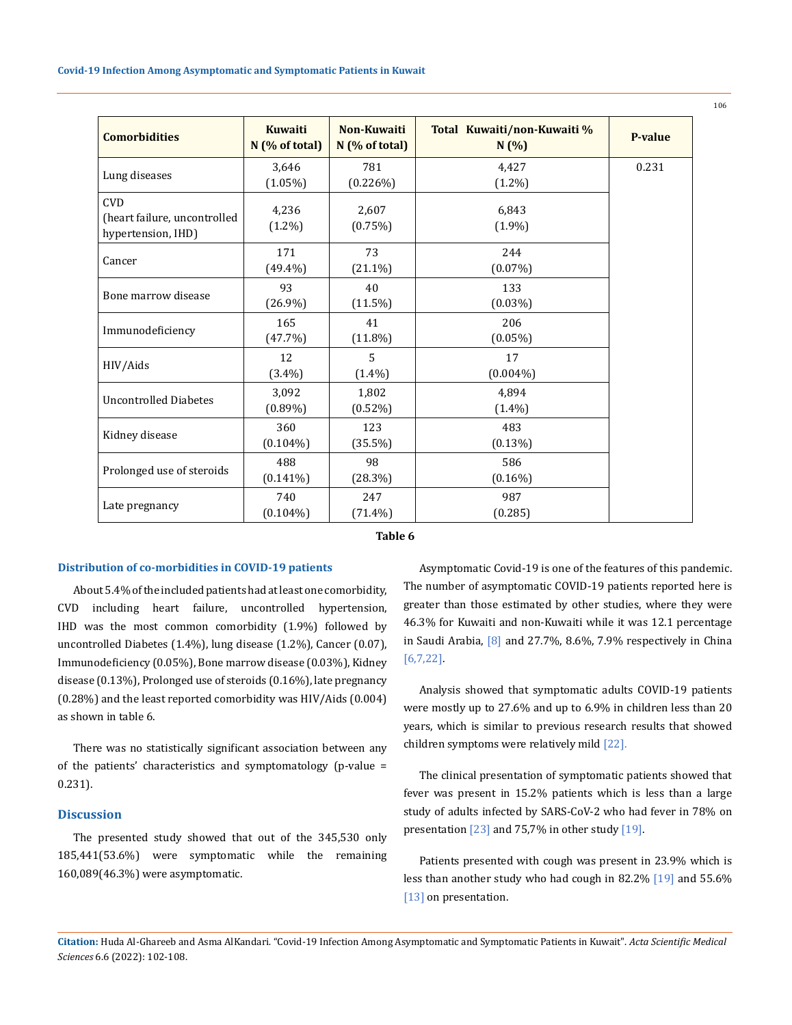| <b>Comorbidities</b>                                             | <b>Kuwaiti</b><br>$N$ (% of total) | Non-Kuwaiti<br>$N$ (% of total) | Total Kuwaiti/non-Kuwaiti %<br>N(%) | <b>P-value</b> |
|------------------------------------------------------------------|------------------------------------|---------------------------------|-------------------------------------|----------------|
| Lung diseases                                                    | 3,646<br>$(1.05\%)$                | 781<br>(0.226%)                 | 4,427<br>$(1.2\%)$                  | 0.231          |
| <b>CVD</b><br>(heart failure, uncontrolled<br>hypertension, IHD) | 4,236<br>$(1.2\%)$                 | 2,607<br>$(0.75\%)$             | 6,843<br>$(1.9\%)$                  |                |
| Cancer                                                           | 171<br>$(49.4\%)$                  | 73<br>$(21.1\%)$                | 244<br>$(0.07\%)$                   |                |
| Bone marrow disease                                              | 93<br>$(26.9\%)$                   | 40<br>$(11.5\%)$                | 133<br>$(0.03\%)$                   |                |
| Immunodeficiency                                                 | 165<br>(47.7%)                     | 41<br>$(11.8\%)$                | 206<br>$(0.05\%)$                   |                |
| HIV/Aids                                                         | 12<br>$(3.4\%)$                    | 5<br>$(1.4\%)$                  | 17<br>$(0.004\%)$                   |                |
| <b>Uncontrolled Diabetes</b>                                     | 3.092<br>$(0.89\%)$                | 1,802<br>$(0.52\%)$             | 4.894<br>$(1.4\%)$                  |                |
| Kidney disease                                                   | 360<br>$(0.104\%)$                 | 123<br>$(35.5\%)$               | 483<br>$(0.13\%)$                   |                |
| Prolonged use of steroids                                        | 488<br>$(0.141\%)$                 | 98<br>(28.3%)                   | 586<br>$(0.16\%)$                   |                |
| Late pregnancy                                                   | 740<br>$(0.104\%)$                 | 247<br>$(71.4\%)$               | 987<br>(0.285)                      |                |

#### **Table 6**

#### **Distribution of co-morbidities in COVID-19 patients**

About 5.4% of the included patients had at least one comorbidity, CVD including heart failure, uncontrolled hypertension, IHD was the most common comorbidity (1.9%) followed by uncontrolled Diabetes (1.4%), lung disease (1.2%), Cancer (0.07), Immunodeficiency (0.05%), Bone marrow disease (0.03%), Kidney disease (0.13%), Prolonged use of steroids (0.16%), late pregnancy (0.28%) and the least reported comorbidity was HIV/Aids (0.004) as shown in table 6.

There was no statistically significant association between any of the patients' characteristics and symptomatology (p-value = 0.231).

# **Discussion**

The presented study showed that out of the 345,530 only 185,441(53.6%) were symptomatic while the remaining 160,089(46.3%) were asymptomatic.

Asymptomatic Covid-19 is one of the features of this pandemic. The number of asymptomatic COVID-19 patients reported here is greater than those estimated by other studies, where they were 46.3% for Kuwaiti and non-Kuwaiti while it was 12.1 percentage in Saudi Arabia, [8] and 27.7%, 8.6%, 7.9% respectively in China [6,7,22].

Analysis showed that symptomatic adults COVID-19 patients were mostly up to 27.6% and up to 6.9% in children less than 20 years, which is similar to previous research results that showed children symptoms were relatively mild [22].

The clinical presentation of symptomatic patients showed that fever was present in 15.2% patients which is less than a large study of adults infected by SARS-CoV-2 who had fever in 78% on presentation [23] and 75,7% in other study [19].

Patients presented with cough was present in 23.9% which is less than another study who had cough in 82.2% [19] and 55.6% [13] on presentation.

**Citation:** Huda Al-Ghareeb and Asma AlKandari*.* "Covid-19 Infection Among Asymptomatic and Symptomatic Patients in Kuwait". *Acta Scientific Medical Sciences* 6.6 (2022): 102-108.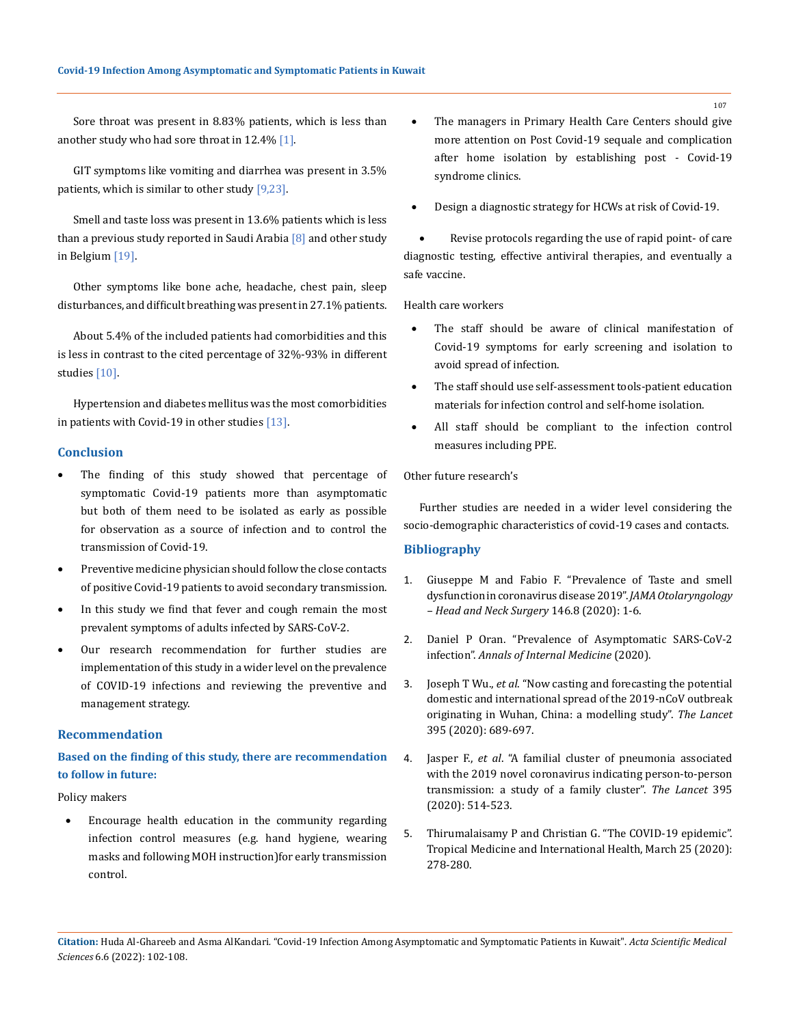Sore throat was present in 8.83% patients, which is less than another study who had sore throat in 12.4% [1].

GIT symptoms like vomiting and diarrhea was present in 3.5% patients, which is similar to other study  $[9,23]$ .

Smell and taste loss was present in 13.6% patients which is less than a previous study reported in Saudi Arabia [8] and other study in Belgium [19].

Other symptoms like bone ache, headache, chest pain, sleep disturbances, and difficult breathing was present in 27.1% patients.

About 5.4% of the included patients had comorbidities and this is less in contrast to the cited percentage of 32%-93% in different studies [10].

Hypertension and diabetes mellitus was the most comorbidities in patients with Covid-19 in other studies [13].

## **Conclusion**

- The finding of this study showed that percentage of symptomatic Covid-19 patients more than asymptomatic but both of them need to be isolated as early as possible for observation as a source of infection and to control the transmission of Covid-19.
- • Preventive medicine physician should follow the close contacts of positive Covid-19 patients to avoid secondary transmission.
- In this study we find that fever and cough remain the most prevalent symptoms of adults infected by SARS-CoV-2.
- • Our research recommendation for further studies are implementation of this study in a wider level on the prevalence of COVID-19 infections and reviewing the preventive and management strategy.

### **Recommendation**

# **Based on the finding of this study, there are recommendation to follow in future:**

Policy makers

Encourage health education in the community regarding infection control measures (e.g. hand hygiene, wearing masks and following MOH instruction)for early transmission control.

- The managers in Primary Health Care Centers should give more attention on Post Covid-19 sequale and complication after home isolation by establishing post - Covid-19 syndrome clinics.
- Design a diagnostic strategy for HCWs at risk of Covid-19.

Revise protocols regarding the use of rapid point- of care diagnostic testing, effective antiviral therapies, and eventually a safe vaccine.

Health care workers

- The staff should be aware of clinical manifestation of Covid-19 symptoms for early screening and isolation to avoid spread of infection.
- The staff should use self-assessment tools-patient education materials for infection control and self-home isolation.
- All staff should be compliant to the infection control measures including PPE.

# Other future research's

Further studies are needed in a wider level considering the socio-demographic characteristics of covid-19 cases and contacts.

## **Bibliography**

- 1. [Giuseppe M and Fabio F. "Prevalence of Taste and smell](https://jamanetwork.com/journals/jamaotolaryngology/fullarticle/2767510)  [dysfunction in coronavirus disease 2019".](https://jamanetwork.com/journals/jamaotolaryngology/fullarticle/2767510) *JAMA Otolaryngology [– Head and Neck Surgery](https://jamanetwork.com/journals/jamaotolaryngology/fullarticle/2767510)* 146.8 (2020): 1-6.
- 2. [Daniel P Oran. "Prevalence of Asymptomatic SARS-CoV-2](https://www.acpjournals.org/doi/10.7326/M20-3012)  infection". *[Annals of Internal Medicine](https://www.acpjournals.org/doi/10.7326/M20-3012)* (2020).
- 3. Joseph T Wu., *et al*[. "Now casting and forecasting the potential](https://www.thelancet.com/journals/lancet/article/PIIS0140-6736(20)30260-9/fulltext)  [domestic and international spread of the 2019-nCoV outbreak](https://www.thelancet.com/journals/lancet/article/PIIS0140-6736(20)30260-9/fulltext)  [originating in Wuhan, China: a modelling study".](https://www.thelancet.com/journals/lancet/article/PIIS0140-6736(20)30260-9/fulltext) *The Lancet*  [395 \(2020\): 689-697.](https://www.thelancet.com/journals/lancet/article/PIIS0140-6736(20)30260-9/fulltext)
- 4. Jasper F., *et al*[. "A familial cluster of pneumonia associated](https://www.thelancet.com/journals/lancet/article/PIIS0140-6736(20)30154-9/fulltext)  [with the 2019 novel coronavirus indicating person-to-person](https://www.thelancet.com/journals/lancet/article/PIIS0140-6736(20)30154-9/fulltext)  [transmission: a study of a family cluster".](https://www.thelancet.com/journals/lancet/article/PIIS0140-6736(20)30154-9/fulltext) *The Lancet* 395 [\(2020\): 514-523.](https://www.thelancet.com/journals/lancet/article/PIIS0140-6736(20)30154-9/fulltext)
- 5. Thirumalaisamy P and Christian G. "The COVID-19 epidemic". Tropical Medicine and International Health, March 25 (2020): 278-280.

**Citation:** Huda Al-Ghareeb and Asma AlKandari*.* "Covid-19 Infection Among Asymptomatic and Symptomatic Patients in Kuwait". *Acta Scientific Medical Sciences* 6.6 (2022): 102-108.